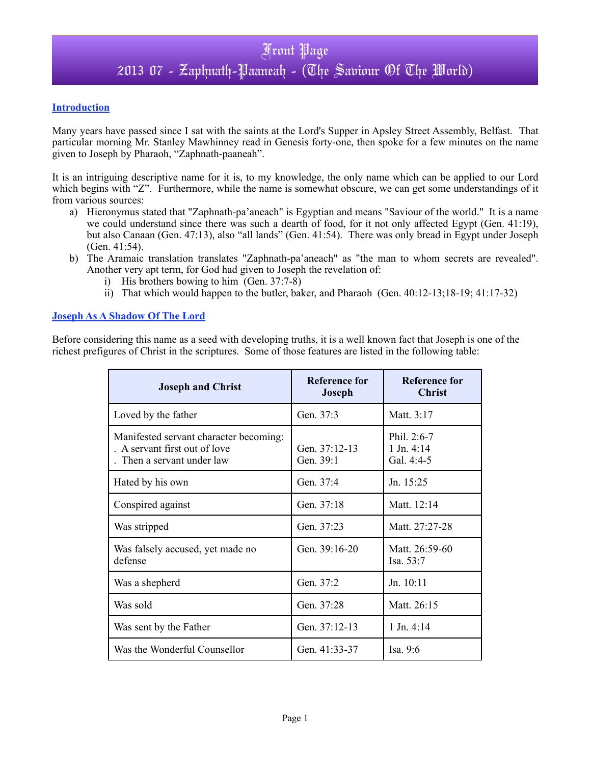#### **Introduction**

Many years have passed since I sat with the saints at the Lord's Supper in Apsley Street Assembly, Belfast. That particular morning Mr. Stanley Mawhinney read in Genesis forty-one, then spoke for a few minutes on the name given to Joseph by Pharaoh, "Zaphnath-paaneah".

It is an intriguing descriptive name for it is, to my knowledge, the only name which can be applied to our Lord which begins with "Z". Furthermore, while the name is somewhat obscure, we can get some understandings of it from various sources:

- a) Hieronymus stated that "Zaphnath-pa'aneach" is Egyptian and means "Saviour of the world." It is a name we could understand since there was such a dearth of food, for it not only affected Egypt (Gen. 41:19), but also Canaan (Gen. 47:13), also "all lands" (Gen. 41:54). There was only bread in Egypt under Joseph (Gen. 41:54).
- b) The Aramaic translation translates "Zaphnath-pa'aneach" as "the man to whom secrets are revealed". Another very apt term, for God had given to Joseph the revelation of:
	- i) His brothers bowing to him  $(Gen. 37:7-8)$
	- ii) That which would happen to the butler, baker, and Pharaoh (Gen. 40:12-13;18-19; 41:17-32)

#### **Joseph As A Shadow Of The Lord**

Before considering this name as a seed with developing truths, it is a well known fact that Joseph is one of the richest prefigures of Christ in the scriptures. Some of those features are listed in the following table:

| <b>Joseph and Christ</b>                                                                              | <b>Reference for</b><br><b>Joseph</b> | <b>Reference for</b><br><b>Christ</b>     |  |
|-------------------------------------------------------------------------------------------------------|---------------------------------------|-------------------------------------------|--|
| Loved by the father                                                                                   | Gen. 37:3                             | Matt. 3:17                                |  |
| Manifested servant character becoming:<br>. A servant first out of love<br>. Then a servant under law | Gen. 37:12-13<br>Gen. 39:1            | Phil. 2:6-7<br>$1$ Jn. 4:14<br>Gal. 4:4-5 |  |
| Hated by his own                                                                                      | Gen. 37:4                             | Jn. $15:25$                               |  |
| Conspired against                                                                                     | Gen. 37:18                            | Matt. 12:14                               |  |
| Was stripped                                                                                          | Gen. 37:23                            | Matt. 27:27-28                            |  |
| Was falsely accused, yet made no<br>defense                                                           | Gen. 39:16-20                         | Matt. 26:59-60<br>Isa. $53:7$             |  |
| Was a shepherd                                                                                        | Gen. 37:2                             | Jn. 10:11                                 |  |
| Was sold                                                                                              | Gen. 37:28                            | Matt. 26:15                               |  |
| Was sent by the Father                                                                                | Gen. 37:12-13                         | $1$ Jn. 4:14                              |  |
| Was the Wonderful Counsellor                                                                          | Gen. 41:33-37                         | Isa. $9:6$                                |  |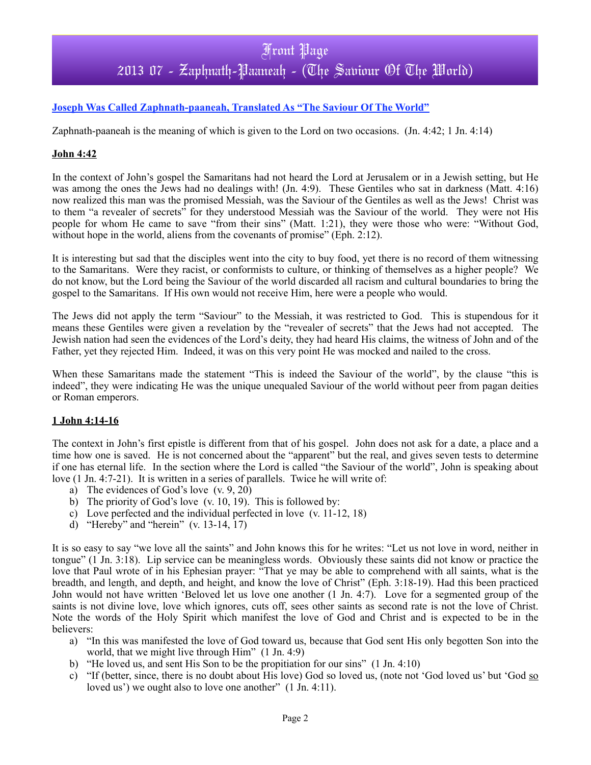# Front Page 2013 07 - Zaphnath-Paaneah - (The Saviour Of The World)

#### **Joseph Was Called Zaphnath-paaneah, Translated As "The Saviour Of The World"**

Zaphnath-paaneah is the meaning of which is given to the Lord on two occasions. (Jn. 4:42; 1 Jn. 4:14)

#### **John 4:42**

In the context of John's gospel the Samaritans had not heard the Lord at Jerusalem or in a Jewish setting, but He was among the ones the Jews had no dealings with! (Jn. 4:9). These Gentiles who sat in darkness (Matt. 4:16) now realized this man was the promised Messiah, was the Saviour of the Gentiles as well as the Jews! Christ was to them "a revealer of secrets" for they understood Messiah was the Saviour of the world. They were not His people for whom He came to save "from their sins" (Matt. 1:21), they were those who were: "Without God, without hope in the world, aliens from the covenants of promise" (Eph. 2:12).

It is interesting but sad that the disciples went into the city to buy food, yet there is no record of them witnessing to the Samaritans. Were they racist, or conformists to culture, or thinking of themselves as a higher people? We do not know, but the Lord being the Saviour of the world discarded all racism and cultural boundaries to bring the gospel to the Samaritans. If His own would not receive Him, here were a people who would.

The Jews did not apply the term "Saviour" to the Messiah, it was restricted to God. This is stupendous for it means these Gentiles were given a revelation by the "revealer of secrets" that the Jews had not accepted. The Jewish nation had seen the evidences of the Lord's deity, they had heard His claims, the witness of John and of the Father, yet they rejected Him. Indeed, it was on this very point He was mocked and nailed to the cross.

When these Samaritans made the statement "This is indeed the Saviour of the world", by the clause "this is indeed", they were indicating He was the unique unequaled Saviour of the world without peer from pagan deities or Roman emperors.

#### **1 John 4:14-16**

The context in John's first epistle is different from that of his gospel. John does not ask for a date, a place and a time how one is saved. He is not concerned about the "apparent" but the real, and gives seven tests to determine if one has eternal life. In the section where the Lord is called "the Saviour of the world", John is speaking about love (1 Jn. 4:7-21). It is written in a series of parallels. Twice he will write of:

- a) The evidences of God's love (v. 9, 20)
- b) The priority of God's love (v. 10, 19). This is followed by:
- c) Love perfected and the individual perfected in love (v. 11-12, 18)
- d) "Hereby" and "herein" (v. 13-14, 17)

It is so easy to say "we love all the saints" and John knows this for he writes: "Let us not love in word, neither in tongue" (1 Jn. 3:18). Lip service can be meaningless words. Obviously these saints did not know or practice the love that Paul wrote of in his Ephesian prayer: "That ye may be able to comprehend with all saints, what is the breadth, and length, and depth, and height, and know the love of Christ" (Eph. 3:18-19). Had this been practiced John would not have written 'Beloved let us love one another (1 Jn. 4:7). Love for a segmented group of the saints is not divine love, love which ignores, cuts off, sees other saints as second rate is not the love of Christ. Note the words of the Holy Spirit which manifest the love of God and Christ and is expected to be in the believers:

- a) "In this was manifested the love of God toward us, because that God sent His only begotten Son into the world, that we might live through Him" (1 Jn. 4:9)
- b) "He loved us, and sent His Son to be the propitiation for our sins" (1 Jn. 4:10)
- c) "If (better, since, there is no doubt about His love) God so loved us, (note not 'God loved us' but 'God so loved us') we ought also to love one another" (1 Jn. 4:11).